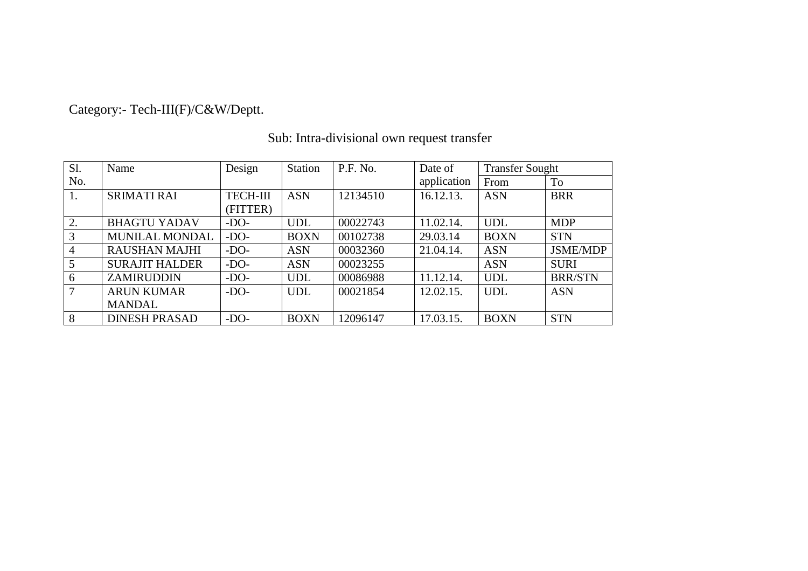# Category:- Tech-III(F)/C&W/Deptt.

| Sl. | Name                  | Design          | Station     | P.F. No. | Date of     | <b>Transfer Sought</b> |                 |
|-----|-----------------------|-----------------|-------------|----------|-------------|------------------------|-----------------|
| No. |                       |                 |             |          | application | From                   | To              |
| 1.  | <b>SRIMATI RAI</b>    | <b>TECH-III</b> | <b>ASN</b>  | 12134510 | 16.12.13.   | <b>ASN</b>             | <b>BRR</b>      |
|     |                       | (FITTER)        |             |          |             |                        |                 |
| 2.  | <b>BHAGTU YADAV</b>   | $-DO-$          | <b>UDL</b>  | 00022743 | 11.02.14.   | <b>UDL</b>             | <b>MDP</b>      |
| 3   | <b>MUNILAL MONDAL</b> | $-DO-$          | <b>BOXN</b> | 00102738 | 29.03.14    | <b>BOXN</b>            | <b>STN</b>      |
| 4   | <b>RAUSHAN MAJHI</b>  | $-DO-$          | <b>ASN</b>  | 00032360 | 21.04.14.   | <b>ASN</b>             | <b>JSME/MDP</b> |
| 5   | <b>SURAJIT HALDER</b> | $-DO-$          | <b>ASN</b>  | 00023255 |             | <b>ASN</b>             | <b>SURI</b>     |
| 6   | <b>ZAMIRUDDIN</b>     | $-DO-$          | <b>UDL</b>  | 00086988 | 11.12.14.   | <b>UDL</b>             | <b>BRR/STN</b>  |
| 7   | <b>ARUN KUMAR</b>     | $-DO-$          | <b>UDL</b>  | 00021854 | 12.02.15.   | <b>UDL</b>             | <b>ASN</b>      |
|     | <b>MANDAL</b>         |                 |             |          |             |                        |                 |
| 8   | <b>DINESH PRASAD</b>  | $-DO-$          | <b>BOXN</b> | 12096147 | 17.03.15.   | <b>BOXN</b>            | <b>STN</b>      |

#### Sub: Intra-divisional own request transfer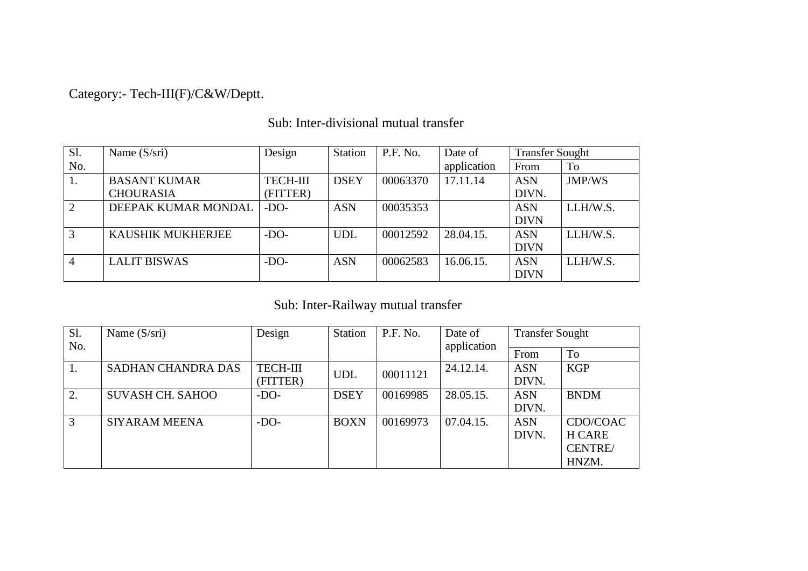Category:- Tech-III(F)/C&W/Deptt.

Sub: Inter-divisional mutual transfer

| S1. | Name $(S/sri)$      | Design          | <b>Station</b> | P.F. No. | Date of     | <b>Transfer Sought</b> |          |
|-----|---------------------|-----------------|----------------|----------|-------------|------------------------|----------|
| No. |                     |                 |                |          | application | From                   | To       |
| 1.  | <b>BASANT KUMAR</b> | <b>TECH-III</b> | <b>DSEY</b>    | 00063370 | 17.11.14    | <b>ASN</b>             | JMP/WS   |
|     | <b>CHOURASIA</b>    | (FITTER)        |                |          |             | DIVN.                  |          |
| 2   | DEEPAK KUMAR MONDAL | $-DO-$          | <b>ASN</b>     | 00035353 |             | <b>ASN</b>             | LLH/W.S. |
|     |                     |                 |                |          |             | <b>DIVN</b>            |          |
| 3   | KAUSHIK MUKHERJEE   | $-DO-$          | <b>UDL</b>     | 00012592 | 28.04.15.   | <b>ASN</b>             | LLH/W.S. |
|     |                     |                 |                |          |             | <b>DIVN</b>            |          |
| 4   | <b>LALIT BISWAS</b> | $-DO-$          | <b>ASN</b>     | 00062583 | 16.06.15.   | <b>ASN</b>             | LLH/W.S. |
|     |                     |                 |                |          |             | <b>DIVN</b>            |          |

### Sub: Inter-Railway mutual transfer

| Sl. | Name $(S/sri)$            | Design          | <b>Station</b> | P.F. No. | Date of     | <b>Transfer Sought</b> |                |
|-----|---------------------------|-----------------|----------------|----------|-------------|------------------------|----------------|
| No. |                           |                 |                |          | application | From                   | <b>To</b>      |
| 1.  | <b>SADHAN CHANDRA DAS</b> | <b>TECH-III</b> | <b>UDL</b>     | 00011121 | 24.12.14.   | <b>ASN</b>             | <b>KGP</b>     |
|     |                           | (FITTER)        |                |          |             | DIVN.                  |                |
| 2.  | <b>SUVASH CH. SAHOO</b>   | $-DO-$          | <b>DSEY</b>    | 00169985 | 28.05.15.   | <b>ASN</b>             | <b>BNDM</b>    |
|     |                           |                 |                |          |             | DIVN.                  |                |
| 3   | <b>SIYARAM MEENA</b>      | $-DO-$          | <b>BOXN</b>    | 00169973 | 07.04.15.   | <b>ASN</b>             | CDO/COAC       |
|     |                           |                 |                |          |             | DIVN.                  | H CARE         |
|     |                           |                 |                |          |             |                        | <b>CENTRE/</b> |
|     |                           |                 |                |          |             |                        | HNZM.          |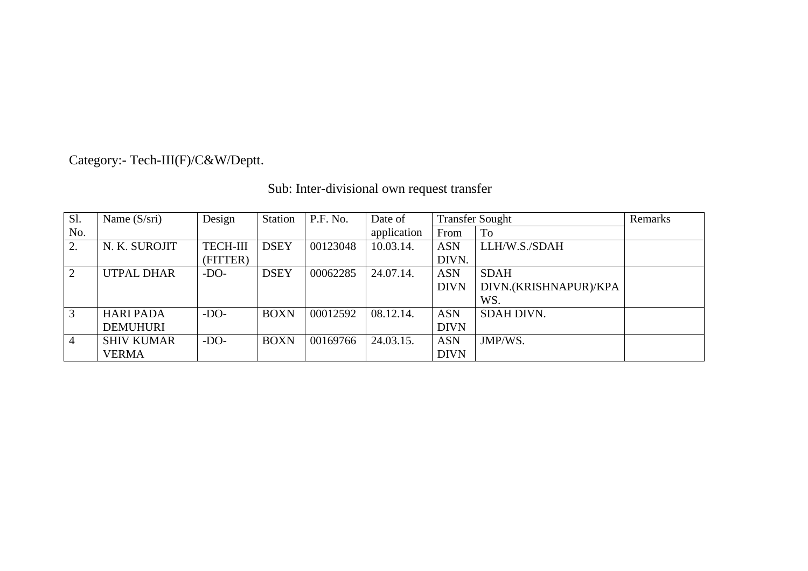# Category:- Tech-III(F)/C&W/Deptt.

# Sub: Inter-divisional own request transfer

| S1.            | Name $(S/sri)$    | Design          | Station     | P.F. No. | Date of     | <b>Transfer Sought</b>               |                   | Remarks |
|----------------|-------------------|-----------------|-------------|----------|-------------|--------------------------------------|-------------------|---------|
| No.            |                   |                 |             |          | application | From                                 | To                |         |
|                | N. K. SUROJIT     | <b>TECH-III</b> | <b>DSEY</b> | 00123048 | 10.03.14.   | <b>ASN</b>                           | LLH/W.S./SDAH     |         |
|                |                   | (FITTER)        |             |          |             | DIVN.                                |                   |         |
|                | <b>UTPAL DHAR</b> | $-DO-$          | <b>DSEY</b> | 00062285 | 24.07.14.   | <b>ASN</b>                           | <b>SDAH</b>       |         |
|                |                   |                 |             |          |             | DIVN.(KRISHNAPUR)/KPA<br><b>DIVN</b> |                   |         |
|                |                   |                 |             |          |             |                                      | WS.               |         |
| 3              | <b>HARI PADA</b>  | $-DO-$          | <b>BOXN</b> | 00012592 | 08.12.14.   | <b>ASN</b>                           | <b>SDAH DIVN.</b> |         |
|                | <b>DEMUHURI</b>   |                 |             |          |             | <b>DIVN</b>                          |                   |         |
| $\overline{A}$ | <b>SHIV KUMAR</b> | $-DO-$          | <b>BOXN</b> | 00169766 | 24.03.15.   | <b>ASN</b>                           | JMP/WS.           |         |
|                | <b>VERMA</b>      |                 |             |          |             | <b>DIVN</b>                          |                   |         |